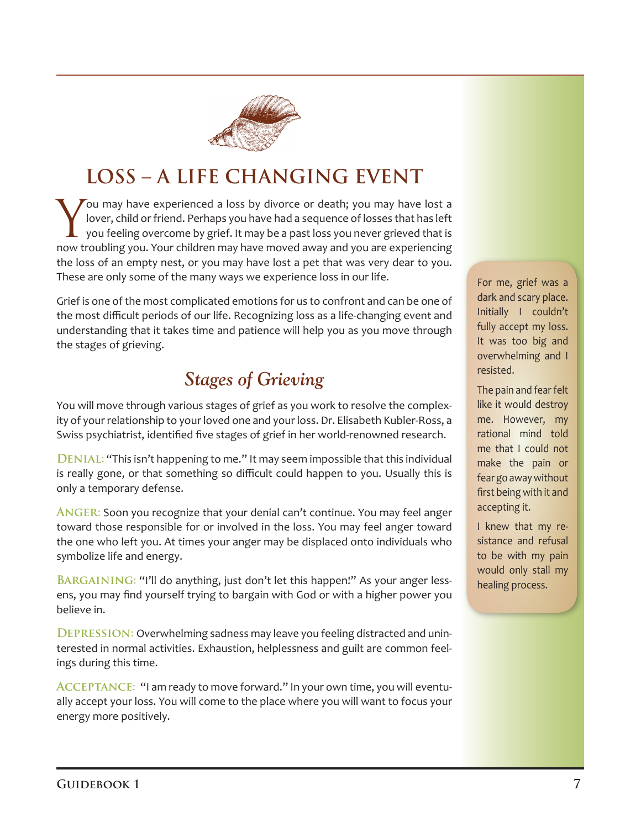

## **LOSS – A LIFE CHANGING EVENT**

You may have experienced a loss by divorce or death; you may have lost a<br>lover, child or friend. Perhaps you have had a sequence of losses that has left<br>you feeling overcome by grief. It may be a past loss you never grieve lover, child or friend. Perhaps you have had a sequence of losses that has left  $\mathsf L$  you feeling overcome by grief. It may be a past loss you never grieved that is now troubling you. Your children may have moved away and you are experiencing the loss of an empty nest, or you may have lost a pet that was very dear to you. These are only some of the many ways we experience loss in our life.

Grief is one of the most complicated emotions for us to confront and can be one of the most difficult periods of our life. Recognizing loss as a life-changing event and understanding that it takes time and patience will help you as you move through the stages of grieving.

## *Stages of Grieving*

You will move through various stages of grief as you work to resolve the complexity of your relationship to your loved one and your loss. Dr. Elisabeth Kubler-Ross, a Swiss psychiatrist, identified five stages of grief in her world-renowned research.

**Denial:** "This isn't happening to me." It may seem impossible that this individual is really gone, or that something so difficult could happen to you. Usually this is only a temporary defense.

**Anger:** Soon you recognize that your denial can't continue. You may feel anger toward those responsible for or involved in the loss. You may feel anger toward the one who left you. At times your anger may be displaced onto individuals who symbolize life and energy.

BARGAINING: "I'll do anything, just don't let this happen!" As your anger lessens, you may find yourself trying to bargain with God or with a higher power you believe in.

**Depression:** Overwhelming sadness may leave you feeling distracted and uninterested in normal activities. Exhaustion, helplessness and guilt are common feelings during this time.

**Acceptance:** "I am ready to move forward." In your own time, you will eventually accept your loss. You will come to the place where you will want to focus your energy more positively.

For me, grief was a dark and scary place. Initially I couldn't fully accept my loss. It was too big and overwhelming and I resisted.

The pain and fear felt like it would destroy me. However, my rational mind told me that I could not make the pain or fear go away without first being with it and accepting it.

I knew that my resistance and refusal to be with my pain would only stall my healing process.